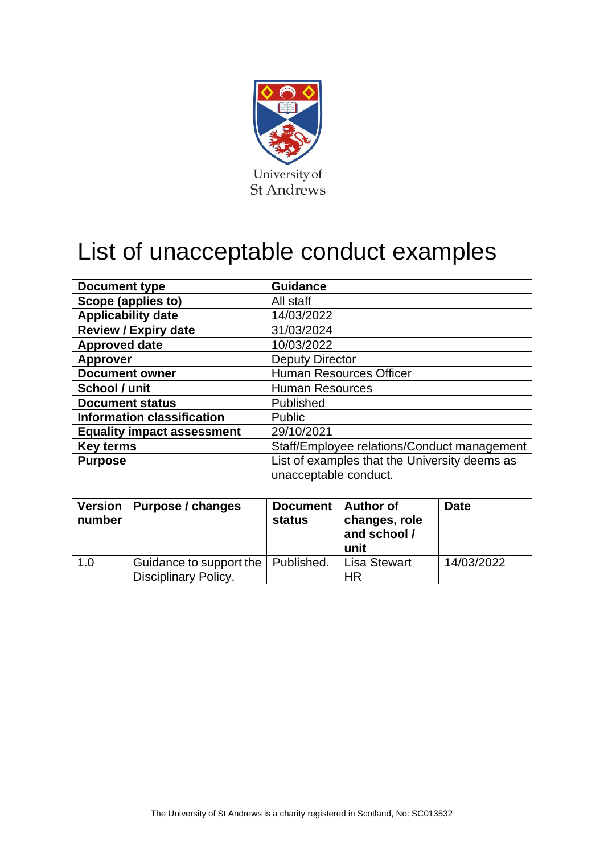

## List of unacceptable conduct examples

| <b>Document type</b>              | <b>Guidance</b>                               |  |  |
|-----------------------------------|-----------------------------------------------|--|--|
| Scope (applies to)                | All staff                                     |  |  |
| <b>Applicability date</b>         | 14/03/2022                                    |  |  |
| <b>Review / Expiry date</b>       | 31/03/2024                                    |  |  |
| <b>Approved date</b>              | 10/03/2022                                    |  |  |
| <b>Approver</b>                   | <b>Deputy Director</b>                        |  |  |
| <b>Document owner</b>             | <b>Human Resources Officer</b>                |  |  |
| School / unit                     | <b>Human Resources</b>                        |  |  |
| <b>Document status</b>            | Published                                     |  |  |
| <b>Information classification</b> | <b>Public</b>                                 |  |  |
| <b>Equality impact assessment</b> | 29/10/2021                                    |  |  |
| <b>Key terms</b>                  | Staff/Employee relations/Conduct management   |  |  |
| <b>Purpose</b>                    | List of examples that the University deems as |  |  |
|                                   | unacceptable conduct.                         |  |  |

| number | Version   Purpose / changes                                         | Document   Author of<br>status | changes, role<br>and school /<br>unit | <b>Date</b> |
|--------|---------------------------------------------------------------------|--------------------------------|---------------------------------------|-------------|
| 1.0    | Guidance to support the   Published.<br><b>Disciplinary Policy.</b> |                                | <b>Lisa Stewart</b><br>HR             | 14/03/2022  |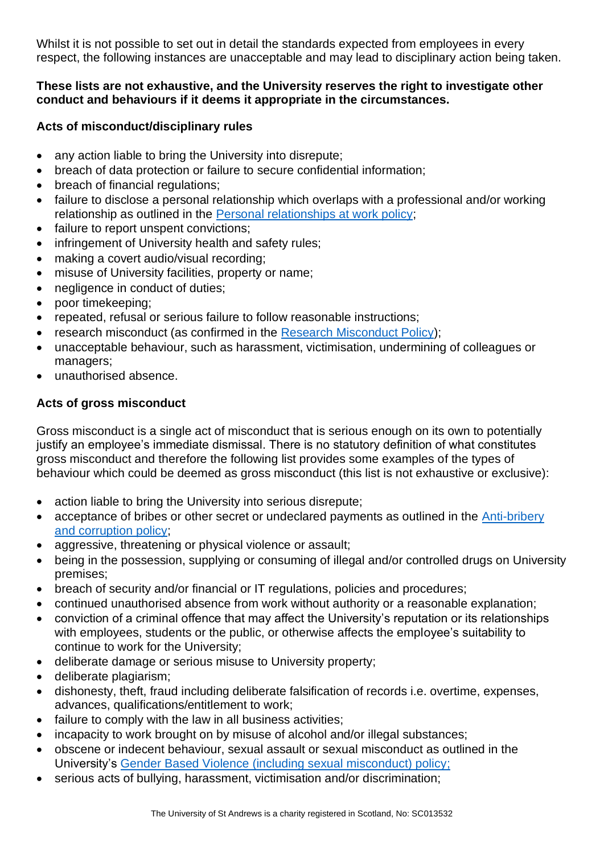Whilst it is not possible to set out in detail the standards expected from employees in every respect, the following instances are unacceptable and may lead to disciplinary action being taken.

## **These lists are not exhaustive, and the University reserves the right to investigate other conduct and behaviours if it deems it appropriate in the circumstances.**

## **Acts of misconduct/disciplinary rules**

- any action liable to bring the University into disrepute;
- breach of data protection or failure to secure confidential information;
- breach of financial regulations;
- failure to disclose a personal relationship which overlaps with a professional and/or working relationship as outlined in the [Personal relationships at work policy;](https://www.st-andrews.ac.uk/policy/staff-employee-relations-conduct-management/personal-relationships-at-work-policy.pdf)
- failure to report unspent convictions;
- infringement of University health and safety rules;
- making a covert audio/visual recording;
- misuse of University facilities, property or name;
- negligence in conduct of duties;
- poor timekeeping;
- repeated, refusal or serious failure to follow reasonable instructions;
- research misconduct (as confirmed in the [Research Misconduct Policy\)](https://www.st-andrews.ac.uk/policy/research-conduct-and-ethics/research-misconduct-policy.pdf);
- unacceptable behaviour, such as harassment, victimisation, undermining of colleagues or managers;
- unauthorised absence.

## **Acts of gross misconduct**

Gross misconduct is a single act of misconduct that is serious enough on its own to potentially justify an employee's immediate dismissal. There is no statutory definition of what constitutes gross misconduct and therefore the following list provides some examples of the types of behaviour which could be deemed as gross misconduct (this list is not exhaustive or exclusive):

- action liable to bring the University into serious disrepute;
- acceptance of bribes or other secret or undeclared payments as outlined in the Anti-bribery [and corruption policy;](https://www.st-andrews.ac.uk/policy/financial-matters-legal-regulations-bribery/anti-bribery-and-corruption.pdf)
- aggressive, threatening or physical violence or assault;
- being in the possession, supplying or consuming of illegal and/or controlled drugs on University premises;
- breach of security and/or financial or IT regulations, policies and procedures;
- continued unauthorised absence from work without authority or a reasonable explanation;
- conviction of a criminal offence that may affect the University's reputation or its relationships with employees, students or the public, or otherwise affects the employee's suitability to continue to work for the University;
- deliberate damage or serious misuse to University property;
- deliberate plagiarism;
- dishonesty, theft, fraud including deliberate falsification of records i.e. overtime, expenses, advances, qualifications/entitlement to work;
- failure to comply with the law in all business activities;
- incapacity to work brought on by misuse of alcohol and/or illegal substances;
- obscene or indecent behaviour, sexual assault or sexual misconduct as outlined in the University's [Gender Based Violence \(including sexual misconduct\) policy;](https://www.st-andrews.ac.uk/policy/staff-employee-relations-dignity-and-respect/gender-based-violence.pdf)
- serious acts of bullying, harassment, victimisation and/or discrimination;